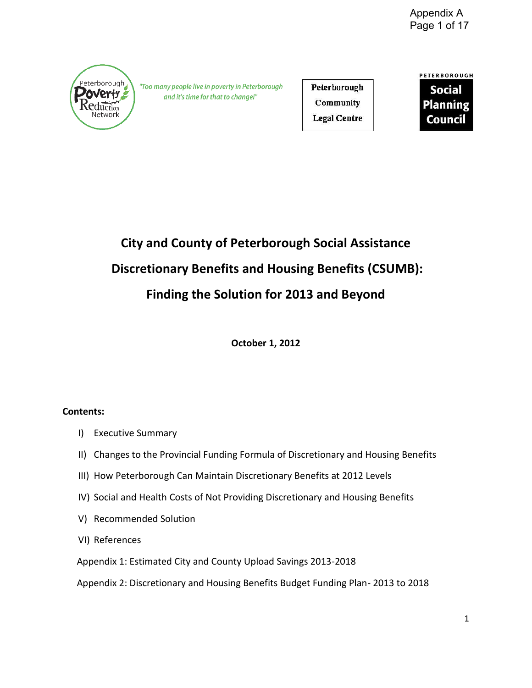

"Too many people live in poverty in Peterborough and it's time for that to change!"

Peterborough Community **Legal Centre** 

PETERBOROUGH **Social Planning Council** 

# **City and County of Peterborough Social Assistance Discretionary Benefits and Housing Benefits (CSUMB): Finding the Solution for 2013 and Beyond**

**October 1, 2012** 

# **Contents:**

- I) Executive Summary
- II) Changes to the Provincial Funding Formula of Discretionary and Housing Benefits
- III) How Peterborough Can Maintain Discretionary Benefits at 2012 Levels
- IV) Social and Health Costs of Not Providing Discretionary and Housing Benefits
- V) Recommended Solution
- VI) References

Appendix 1: Estimated City and County Upload Savings 2013-2018

Appendix 2: Discretionary and Housing Benefits Budget Funding Plan- 2013 to 2018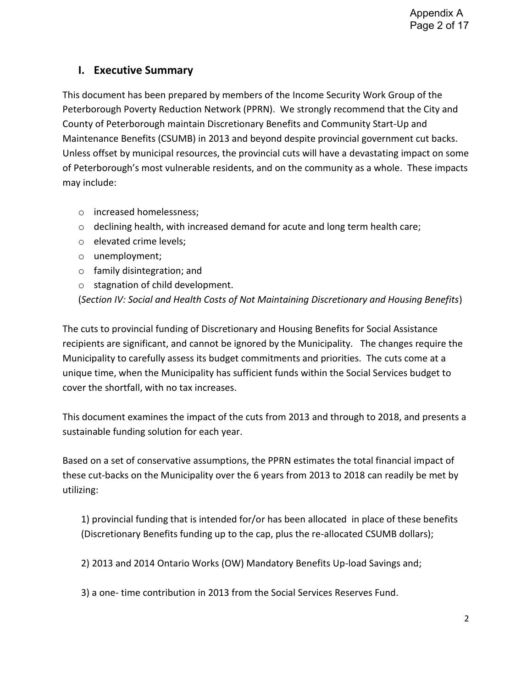# **I. Executive Summary**

This document has been prepared by members of the Income Security Work Group of the Peterborough Poverty Reduction Network (PPRN). We strongly recommend that the City and County of Peterborough maintain Discretionary Benefits and Community Start-Up and Maintenance Benefits (CSUMB) in 2013 and beyond despite provincial government cut backs. Unless offset by municipal resources, the provincial cuts will have a devastating impact on some of Peterborough's most vulnerable residents, and on the community as a whole. These impacts may include:

- o increased homelessness;
- $\circ$  declining health, with increased demand for acute and long term health care;
- o elevated crime levels;
- o unemployment;
- o family disintegration; and
- o stagnation of child development.

(*Section IV: Social and Health Costs of Not Maintaining Discretionary and Housing Benefits*)

The cuts to provincial funding of Discretionary and Housing Benefits for Social Assistance recipients are significant, and cannot be ignored by the Municipality. The changes require the Municipality to carefully assess its budget commitments and priorities. The cuts come at a unique time, when the Municipality has sufficient funds within the Social Services budget to cover the shortfall, with no tax increases.

This document examines the impact of the cuts from 2013 and through to 2018, and presents a sustainable funding solution for each year.

Based on a set of conservative assumptions, the PPRN estimates the total financial impact of these cut-backs on the Municipality over the 6 years from 2013 to 2018 can readily be met by utilizing:

1) provincial funding that is intended for/or has been allocated in place of these benefits (Discretionary Benefits funding up to the cap, plus the re-allocated CSUMB dollars);

2) 2013 and 2014 Ontario Works (OW) Mandatory Benefits Up-load Savings and;

3) a one- time contribution in 2013 from the Social Services Reserves Fund.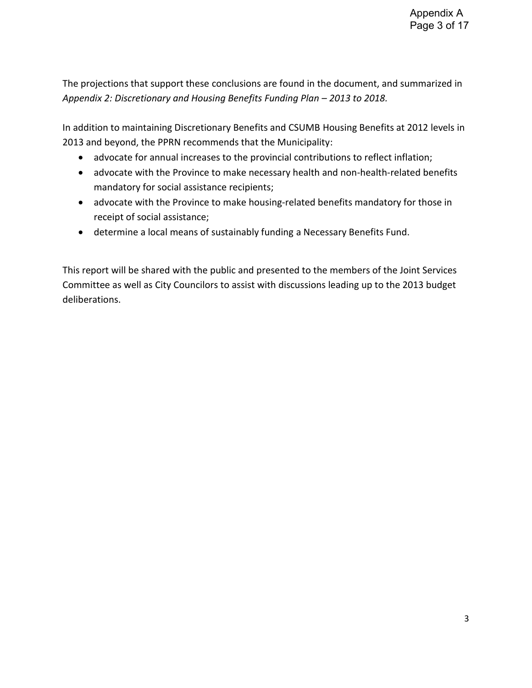The projections that support these conclusions are found in the document, and summarized in *Appendix 2: Discretionary and Housing Benefits Funding Plan – 2013 to 2018.* 

In addition to maintaining Discretionary Benefits and CSUMB Housing Benefits at 2012 levels in 2013 and beyond, the PPRN recommends that the Municipality:

- advocate for annual increases to the provincial contributions to reflect inflation;
- advocate with the Province to make necessary health and non-health-related benefits mandatory for social assistance recipients;
- advocate with the Province to make housing-related benefits mandatory for those in receipt of social assistance;
- determine a local means of sustainably funding a Necessary Benefits Fund.

This report will be shared with the public and presented to the members of the Joint Services Committee as well as City Councilors to assist with discussions leading up to the 2013 budget deliberations.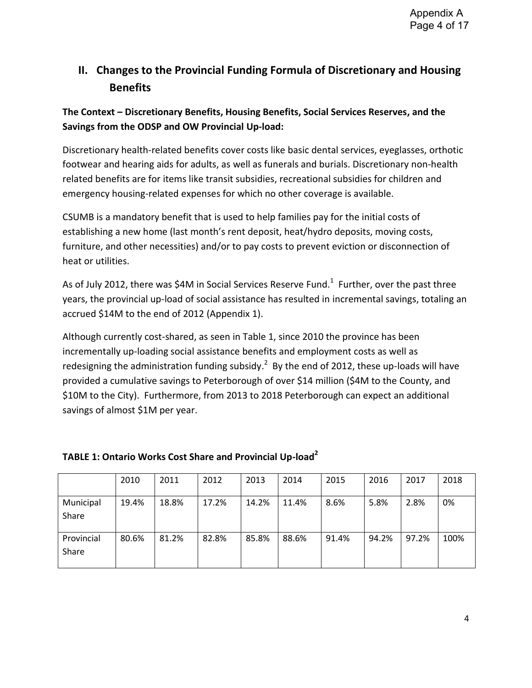# **II. Changes to the Provincial Funding Formula of Discretionary and Housing Benefits**

# **The Context – Discretionary Benefits, Housing Benefits, Social Services Reserves, and the Savings from the ODSP and OW Provincial Up-load:**

Discretionary health-related benefits cover costs like basic dental services, eyeglasses, orthotic footwear and hearing aids for adults, as well as funerals and burials. Discretionary non-health related benefits are for items like transit subsidies, recreational subsidies for children and emergency housing-related expenses for which no other coverage is available.

CSUMB is a mandatory benefit that is used to help families pay for the initial costs of establishing a new home (last month's rent deposit, heat/hydro deposits, moving costs, furniture, and other necessities) and/or to pay costs to prevent eviction or disconnection of heat or utilities.

As of July 2012, there was \$4M in Social Services Reserve Fund.<sup>1</sup> Further, over the past three years, the provincial up-load of social assistance has resulted in incremental savings, totaling an accrued \$14M to the end of 2012 (Appendix 1).

Although currently cost-shared, as seen in Table 1, since 2010 the province has been incrementally up-loading social assistance benefits and employment costs as well as redesigning the administration funding subsidy.<sup>2</sup> By the end of 2012, these up-loads will have provided a cumulative savings to Peterborough of over \$14 million (\$4M to the County, and \$10M to the City). Furthermore, from 2013 to 2018 Peterborough can expect an additional savings of almost \$1M per year.

|                     | 2010  | 2011  | 2012  | 2013  | 2014  | 2015  | 2016  | 2017  | 2018 |
|---------------------|-------|-------|-------|-------|-------|-------|-------|-------|------|
| Municipal<br>Share  | 19.4% | 18.8% | 17.2% | 14.2% | 11.4% | 8.6%  | 5.8%  | 2.8%  | 0%   |
| Provincial<br>Share | 80.6% | 81.2% | 82.8% | 85.8% | 88.6% | 91.4% | 94.2% | 97.2% | 100% |

# **TABLE 1: Ontario Works Cost Share and Provincial Up-load<sup>2</sup>**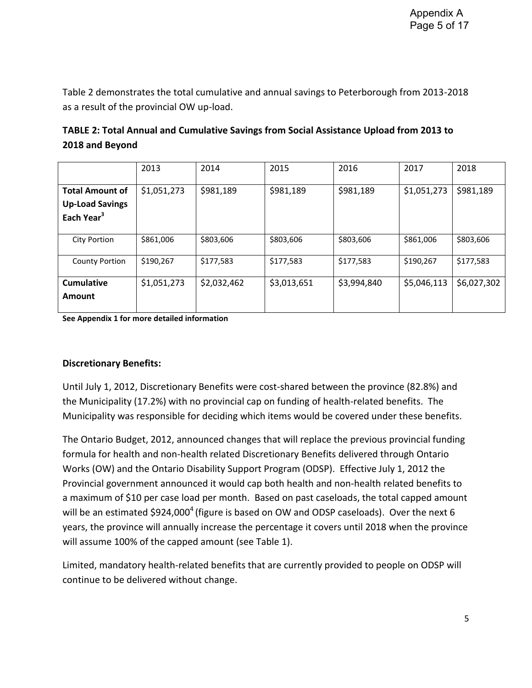Table 2 demonstrates the total cumulative and annual savings to Peterborough from 2013-2018 as a result of the provincial OW up-load.

| TABLE 2: Total Annual and Cumulative Savings from Social Assistance Upload from 2013 to |
|-----------------------------------------------------------------------------------------|
| 2018 and Beyond                                                                         |

|                                                                            | 2013        | 2014        | 2015        | 2016        | 2017        | 2018        |
|----------------------------------------------------------------------------|-------------|-------------|-------------|-------------|-------------|-------------|
| <b>Total Amount of</b><br><b>Up-Load Savings</b><br>Each Year <sup>3</sup> | \$1,051,273 | \$981,189   | \$981,189   | \$981,189   | \$1,051,273 | \$981,189   |
| <b>City Portion</b>                                                        | \$861,006   | \$803,606   | \$803,606   | \$803,606   | \$861,006   | \$803,606   |
| <b>County Portion</b>                                                      | \$190,267   | \$177,583   | \$177,583   | \$177,583   | \$190,267   | \$177,583   |
| <b>Cumulative</b><br>Amount                                                | \$1,051,273 | \$2,032,462 | \$3,013,651 | \$3,994,840 | \$5,046,113 | \$6,027,302 |

**See Appendix 1 for more detailed information** 

### **Discretionary Benefits:**

Until July 1, 2012, Discretionary Benefits were cost-shared between the province (82.8%) and the Municipality (17.2%) with no provincial cap on funding of health-related benefits. The Municipality was responsible for deciding which items would be covered under these benefits.

The Ontario Budget, 2012, announced changes that will replace the previous provincial funding formula for health and non-health related Discretionary Benefits delivered through Ontario Works (OW) and the Ontario Disability Support Program (ODSP). Effective July 1, 2012 the Provincial government announced it would cap both health and non-health related benefits to a maximum of \$10 per case load per month. Based on past caseloads, the total capped amount will be an estimated \$924,000<sup>4</sup> (figure is based on OW and ODSP caseloads). Over the next 6 years, the province will annually increase the percentage it covers until 2018 when the province will assume 100% of the capped amount (see Table 1).

Limited, mandatory health-related benefits that are currently provided to people on ODSP will continue to be delivered without change.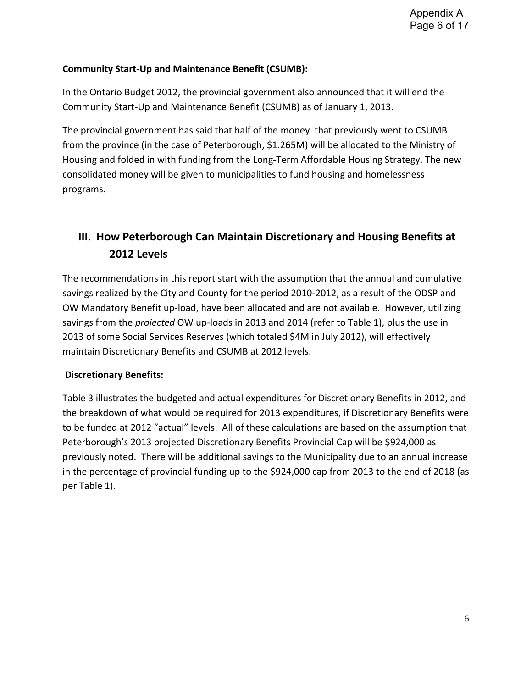# **Community Start-Up and Maintenance Benefit (CSUMB):**

In the Ontario Budget 2012, the provincial government also announced that it will end the Community Start-Up and Maintenance Benefit (CSUMB) as of January 1, 2013.

The provincial government has said that half of the money that previously went to CSUMB from the province (in the case of Peterborough, \$1.265M) will be allocated to the Ministry of Housing and folded in with funding from the Long-Term Affordable Housing Strategy. The new consolidated money will be given to municipalities to fund housing and homelessness programs.

# **III. How Peterborough Can Maintain Discretionary and Housing Benefits at 2012 Levels**

The recommendations in this report start with the assumption that the annual and cumulative savings realized by the City and County for the period 2010-2012, as a result of the ODSP and OW Mandatory Benefit up-load, have been allocated and are not available. However, utilizing savings from the *projected* OW up-loads in 2013 and 2014 (refer to Table 1), plus the use in 2013 of some Social Services Reserves (which totaled \$4M in July 2012), will effectively maintain Discretionary Benefits and CSUMB at 2012 levels.

# **Discretionary Benefits:**

Table 3 illustrates the budgeted and actual expenditures for Discretionary Benefits in 2012, and the breakdown of what would be required for 2013 expenditures, if Discretionary Benefits were to be funded at 2012 "actual" levels. All of these calculations are based on the assumption that Peterborough's 2013 projected Discretionary Benefits Provincial Cap will be \$924,000 as previously noted. There will be additional savings to the Municipality due to an annual increase in the percentage of provincial funding up to the \$924,000 cap from 2013 to the end of 2018 (as per Table 1).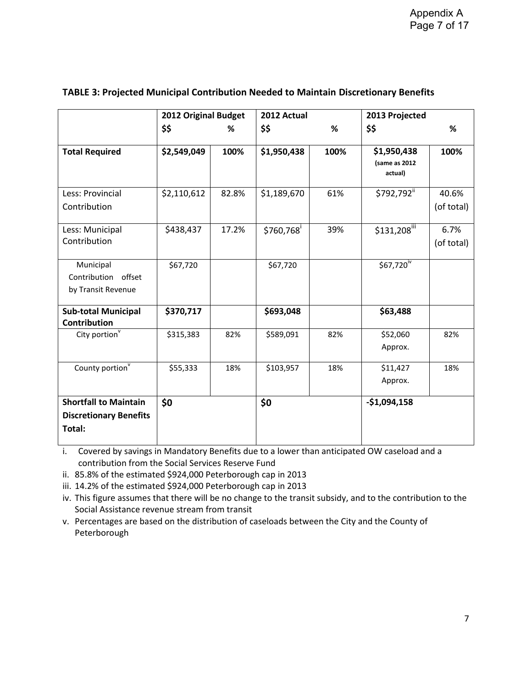|                                                                         | 2012 Original Budget |       | 2012 Actual |      | 2013 Projected                          |                     |
|-------------------------------------------------------------------------|----------------------|-------|-------------|------|-----------------------------------------|---------------------|
|                                                                         | \$\$                 | %     | \$\$        | %    | \$\$                                    | %                   |
| <b>Total Required</b>                                                   | \$2,549,049          | 100%  | \$1,950,438 | 100% | \$1,950,438<br>(same as 2012<br>actual) | 100%                |
| Less: Provincial<br>Contribution                                        | \$2,110,612          | 82.8% | \$1,189,670 | 61%  | \$792,792 <sup>ii</sup>                 | 40.6%<br>(of total) |
| Less: Municipal<br>Contribution                                         | \$438,437            | 17.2% | \$760,768   | 39%  | \$131,208                               | 6.7%<br>(of total)  |
| Municipal<br>Contribution<br>offset<br>by Transit Revenue               | \$67,720             |       | \$67,720    |      | $$67,720^{\overline{w}}$                |                     |
| <b>Sub-total Municipal</b><br>Contribution                              | \$370,717            |       | \$693,048   |      | \$63,488                                |                     |
| City portion $\sqrt{\ }$                                                | \$315,383            | 82%   | \$589,091   | 82%  | \$52,060<br>Approx.                     | 82%                 |
| County portion <sup>v</sup>                                             | \$55,333             | 18%   | \$103,957   | 18%  | \$11,427<br>Approx.                     | 18%                 |
| <b>Shortfall to Maintain</b><br><b>Discretionary Benefits</b><br>Total: | \$0                  |       | \$0         |      | $-$1,094,158$                           |                     |

#### **TABLE 3: Projected Municipal Contribution Needed to Maintain Discretionary Benefits**

i. Covered by savings in Mandatory Benefits due to a lower than anticipated OW caseload and a contribution from the Social Services Reserve Fund

ii. 85.8% of the estimated \$924,000 Peterborough cap in 2013

iii. 14.2% of the estimated \$924,000 Peterborough cap in 2013

iv. This figure assumes that there will be no change to the transit subsidy, and to the contribution to the Social Assistance revenue stream from transit

v. Percentages are based on the distribution of caseloads between the City and the County of Peterborough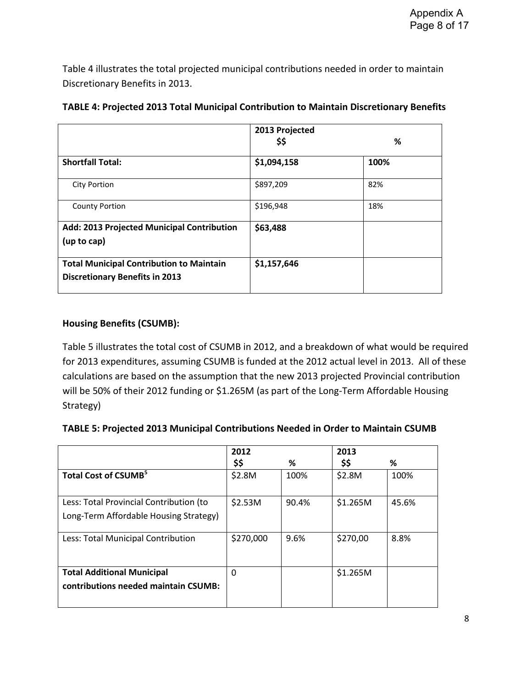Table 4 illustrates the total projected municipal contributions needed in order to maintain Discretionary Benefits in 2013.

|                                                                                          | 2013 Projected<br>\$\$ | %    |
|------------------------------------------------------------------------------------------|------------------------|------|
| <b>Shortfall Total:</b>                                                                  | \$1,094,158            | 100% |
| <b>City Portion</b>                                                                      | \$897,209              | 82%  |
| <b>County Portion</b>                                                                    | \$196,948              | 18%  |
| Add: 2013 Projected Municipal Contribution<br>(up to cap)                                | \$63,488               |      |
| <b>Total Municipal Contribution to Maintain</b><br><b>Discretionary Benefits in 2013</b> | \$1,157,646            |      |

|  | TABLE 4: Projected 2013 Total Municipal Contribution to Maintain Discretionary Benefits |
|--|-----------------------------------------------------------------------------------------|
|--|-----------------------------------------------------------------------------------------|

### **Housing Benefits (CSUMB):**

Table 5 illustrates the total cost of CSUMB in 2012, and a breakdown of what would be required for 2013 expenditures, assuming CSUMB is funded at the 2012 actual level in 2013. All of these calculations are based on the assumption that the new 2013 projected Provincial contribution will be 50% of their 2012 funding or \$1.265M (as part of the Long-Term Affordable Housing Strategy)

| TABLE 5: Projected 2013 Municipal Contributions Needed in Order to Maintain CSUMB |  |
|-----------------------------------------------------------------------------------|--|
|-----------------------------------------------------------------------------------|--|

|                                         | 2012      |       | 2013     |       |
|-----------------------------------------|-----------|-------|----------|-------|
|                                         | \$\$      | %     | \$\$     | %     |
| Total Cost of CSUMB <sup>5</sup>        | \$2.8M    | 100%  | \$2.8M   | 100%  |
|                                         |           |       |          |       |
| Less: Total Provincial Contribution (to | \$2.53M   | 90.4% | \$1.265M | 45.6% |
| Long-Term Affordable Housing Strategy)  |           |       |          |       |
| Less: Total Municipal Contribution      | \$270,000 | 9.6%  | \$270,00 | 8.8%  |
|                                         |           |       |          |       |
|                                         |           |       |          |       |
| <b>Total Additional Municipal</b>       | 0         |       | \$1.265M |       |
| contributions needed maintain CSUMB:    |           |       |          |       |
|                                         |           |       |          |       |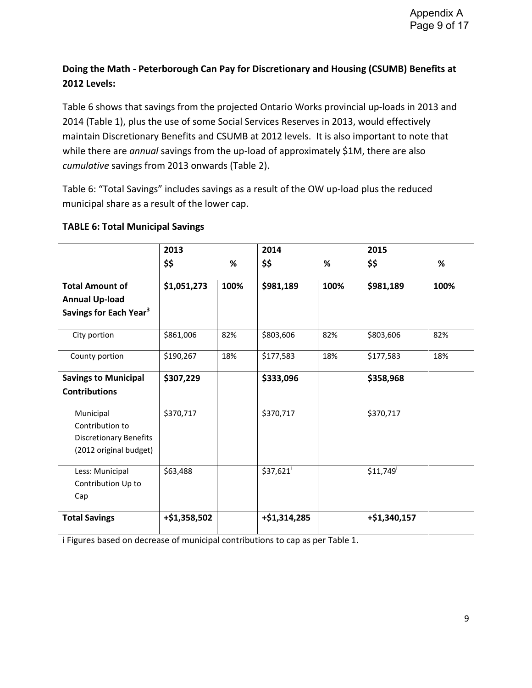# **Doing the Math - Peterborough Can Pay for Discretionary and Housing (CSUMB) Benefits at 2012 Levels:**

Table 6 shows that savings from the projected Ontario Works provincial up-loads in 2013 and 2014 (Table 1), plus the use of some Social Services Reserves in 2013, would effectively maintain Discretionary Benefits and CSUMB at 2012 levels. It is also important to note that while there are *annual* savings from the up-load of approximately \$1M, there are also *cumulative* savings from 2013 onwards (Table 2).

Table 6: "Total Savings" includes savings as a result of the OW up-load plus the reduced municipal share as a result of the lower cap.

### **TABLE 6: Total Municipal Savings**

|                                    | 2013         |      | 2014         |      | 2015         |      |
|------------------------------------|--------------|------|--------------|------|--------------|------|
|                                    | \$\$         | %    | \$\$         | %    | \$\$         | %    |
| <b>Total Amount of</b>             | \$1,051,273  | 100% | \$981,189    | 100% | \$981,189    | 100% |
| <b>Annual Up-load</b>              |              |      |              |      |              |      |
| Savings for Each Year <sup>3</sup> |              |      |              |      |              |      |
| City portion                       | \$861,006    | 82%  | \$803,606    | 82%  | \$803,606    | 82%  |
| County portion                     | \$190,267    | 18%  | \$177,583    | 18%  | \$177,583    | 18%  |
| <b>Savings to Municipal</b>        | \$307,229    |      | \$333,096    |      | \$358,968    |      |
| <b>Contributions</b>               |              |      |              |      |              |      |
| Municipal                          | \$370,717    |      | \$370,717    |      | \$370,717    |      |
| Contribution to                    |              |      |              |      |              |      |
| <b>Discretionary Benefits</b>      |              |      |              |      |              |      |
| (2012 original budget)             |              |      |              |      |              |      |
| Less: Municipal                    | \$63,488     |      | \$37,621     |      | \$11,749     |      |
| Contribution Up to                 |              |      |              |      |              |      |
| Cap                                |              |      |              |      |              |      |
| <b>Total Savings</b>               | +\$1,358,502 |      | +\$1,314,285 |      | +\$1,340,157 |      |

i Figures based on decrease of municipal contributions to cap as per Table 1.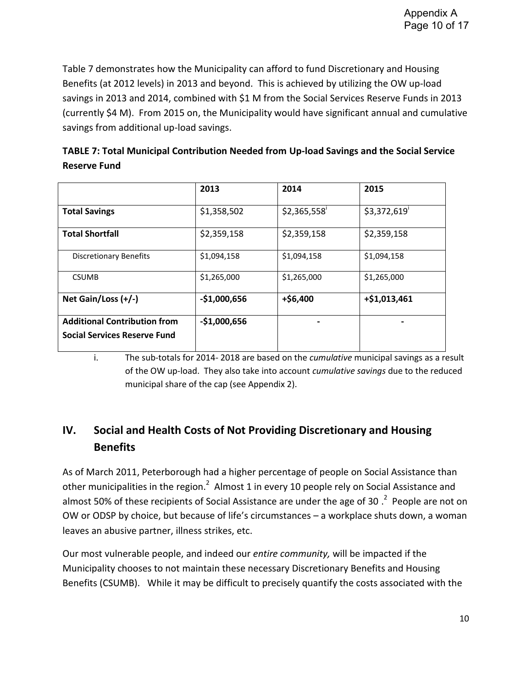Table 7 demonstrates how the Municipality can afford to fund Discretionary and Housing Benefits (at 2012 levels) in 2013 and beyond. This is achieved by utilizing the OW up-load savings in 2013 and 2014, combined with \$1 M from the Social Services Reserve Funds in 2013 (currently \$4 M). From 2015 on, the Municipality would have significant annual and cumulative savings from additional up-load savings.

| TABLE 7: Total Municipal Contribution Needed from Up-load Savings and the Social Service |
|------------------------------------------------------------------------------------------|
| <b>Reserve Fund</b>                                                                      |

|                                                                            | 2013          | 2014        | 2015           |
|----------------------------------------------------------------------------|---------------|-------------|----------------|
| <b>Total Savings</b>                                                       | \$1,358,502   | \$2,365,558 | \$3,372,619    |
| <b>Total Shortfall</b>                                                     | \$2,359,158   | \$2,359,158 | \$2,359,158    |
| <b>Discretionary Benefits</b>                                              | \$1,094,158   | \$1,094,158 | \$1,094,158    |
| <b>CSUMB</b>                                                               | \$1,265,000   | \$1,265,000 | \$1,265,000    |
| Net Gain/Loss (+/-)                                                        | $-$1,000,656$ | $+ $6,400$  | $+ $1,013,461$ |
| <b>Additional Contribution from</b><br><b>Social Services Reserve Fund</b> | $-$1,000,656$ |             |                |

i. The sub-totals for 2014- 2018 are based on the *cumulative* municipal savings as a result of the OW up-load. They also take into account *cumulative savings* due to the reduced municipal share of the cap (see Appendix 2).

# **IV. Social and Health Costs of Not Providing Discretionary and Housing Benefits**

As of March 2011, Peterborough had a higher percentage of people on Social Assistance than other municipalities in the region.<sup>2</sup> Almost 1 in every 10 people rely on Social Assistance and almost 50% of these recipients of Social Assistance are under the age of 30  $.^2$  People are not on OW or ODSP by choice, but because of life's circumstances – a workplace shuts down, a woman leaves an abusive partner, illness strikes, etc.

Our most vulnerable people, and indeed our *entire community,* will be impacted if the Municipality chooses to not maintain these necessary Discretionary Benefits and Housing Benefits (CSUMB). While it may be difficult to precisely quantify the costs associated with the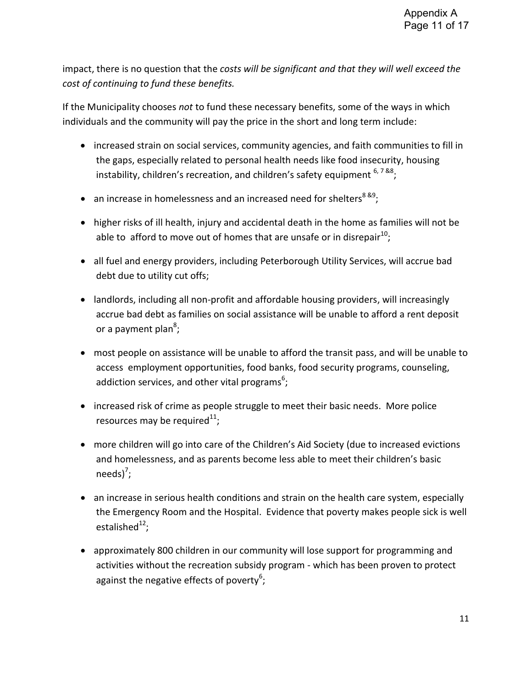impact, there is no question that the *costs will be significant and that they will well exceed the cost of continuing to fund these benefits.*

If the Municipality chooses *not* to fund these necessary benefits, some of the ways in which individuals and the community will pay the price in the short and long term include:

- increased strain on social services, community agencies, and faith communities to fill in the gaps, especially related to personal health needs like food insecurity, housing instability, children's recreation, and children's safety equipment  $6, 7,88$ ;
- an increase in homelessness and an increased need for shelters<sup>8&9</sup>;
- higher risks of ill health, injury and accidental death in the home as families will not be able to afford to move out of homes that are unsafe or in disrepair<sup>10</sup>;
- all fuel and energy providers, including Peterborough Utility Services, will accrue bad debt due to utility cut offs;
- landlords, including all non-profit and affordable housing providers, will increasingly accrue bad debt as families on social assistance will be unable to afford a rent deposit or a payment plan<sup>8</sup>;
- most people on assistance will be unable to afford the transit pass, and will be unable to access employment opportunities, food banks, food security programs, counseling, addiction services, and other vital programs<sup>6</sup>;
- increased risk of crime as people struggle to meet their basic needs. More police resources may be required $^{11}$ ;
- more children will go into care of the Children's Aid Society (due to increased evictions and homelessness, and as parents become less able to meet their children's basic needs) $^7;$
- an increase in serious health conditions and strain on the health care system, especially the Emergency Room and the Hospital. Evidence that poverty makes people sick is well estalished<sup>12</sup>;
- approximately 800 children in our community will lose support for programming and activities without the recreation subsidy program - which has been proven to protect against the negative effects of poverty<sup>6</sup>;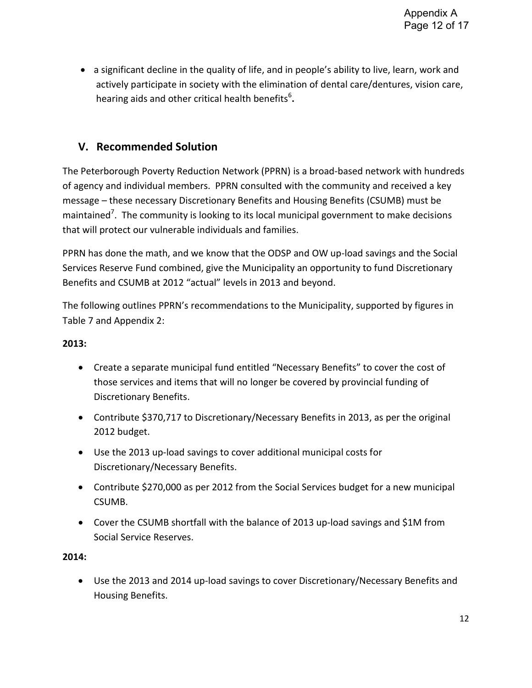• a significant decline in the quality of life, and in people's ability to live, learn, work and actively participate in society with the elimination of dental care/dentures, vision care, hearing aids and other critical health benefits<sup>6</sup>.

# **V. Recommended Solution**

The Peterborough Poverty Reduction Network (PPRN) is a broad-based network with hundreds of agency and individual members. PPRN consulted with the community and received a key message – these necessary Discretionary Benefits and Housing Benefits (CSUMB) must be maintained<sup>7</sup>. The community is looking to its local municipal government to make decisions that will protect our vulnerable individuals and families.

PPRN has done the math, and we know that the ODSP and OW up-load savings and the Social Services Reserve Fund combined, give the Municipality an opportunity to fund Discretionary Benefits and CSUMB at 2012 "actual" levels in 2013 and beyond.

The following outlines PPRN's recommendations to the Municipality, supported by figures in Table 7 and Appendix 2:

### **2013:**

- Create a separate municipal fund entitled "Necessary Benefits" to cover the cost of those services and items that will no longer be covered by provincial funding of Discretionary Benefits.
- Contribute \$370,717 to Discretionary/Necessary Benefits in 2013, as per the original 2012 budget.
- Use the 2013 up-load savings to cover additional municipal costs for Discretionary/Necessary Benefits.
- Contribute \$270,000 as per 2012 from the Social Services budget for a new municipal CSUMB.
- Cover the CSUMB shortfall with the balance of 2013 up-load savings and \$1M from Social Service Reserves.

**2014:** 

 Use the 2013 and 2014 up-load savings to cover Discretionary/Necessary Benefits and Housing Benefits.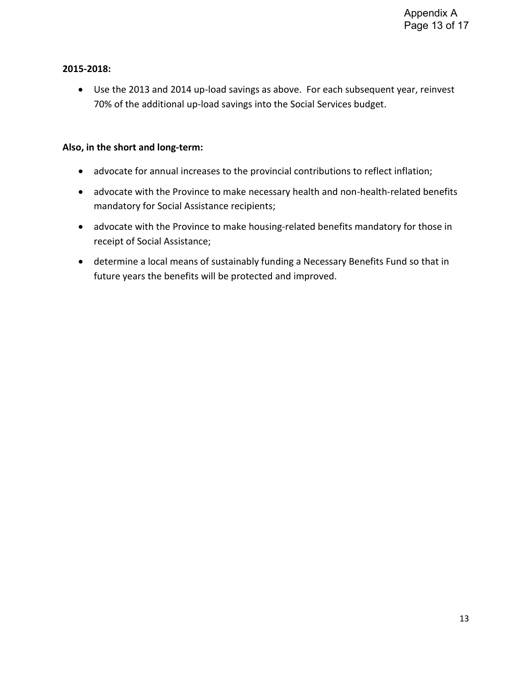#### **2015-2018:**

 Use the 2013 and 2014 up-load savings as above. For each subsequent year, reinvest 70% of the additional up-load savings into the Social Services budget.

#### **Also, in the short and long-term:**

- advocate for annual increases to the provincial contributions to reflect inflation;
- advocate with the Province to make necessary health and non-health-related benefits mandatory for Social Assistance recipients;
- advocate with the Province to make housing-related benefits mandatory for those in receipt of Social Assistance;
- determine a local means of sustainably funding a Necessary Benefits Fund so that in future years the benefits will be protected and improved.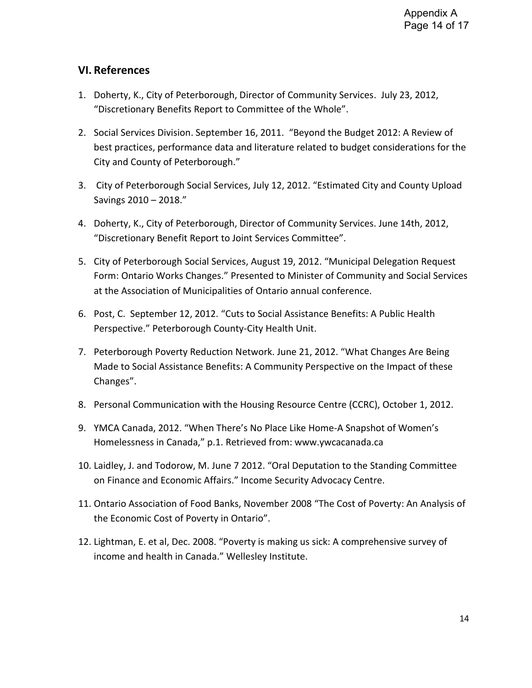# **VI. References**

- 1. Doherty, K., City of Peterborough, Director of Community Services. July 23, 2012, "Discretionary Benefits Report to Committee of the Whole".
- 2. Social Services Division. September 16, 2011. "Beyond the Budget 2012: A Review of best practices, performance data and literature related to budget considerations for the City and County of Peterborough."
- 3. City of Peterborough Social Services, July 12, 2012. "Estimated City and County Upload Savings 2010 – 2018."
- 4. Doherty, K., City of Peterborough, Director of Community Services. June 14th, 2012, "Discretionary Benefit Report to Joint Services Committee".
- 5. City of Peterborough Social Services, August 19, 2012. "Municipal Delegation Request Form: Ontario Works Changes." Presented to Minister of Community and Social Services at the Association of Municipalities of Ontario annual conference.
- 6. Post, C. September 12, 2012. "Cuts to Social Assistance Benefits: A Public Health Perspective." Peterborough County-City Health Unit.
- 7. Peterborough Poverty Reduction Network. June 21, 2012. "What Changes Are Being Made to Social Assistance Benefits: A Community Perspective on the Impact of these Changes".
- 8. Personal Communication with the Housing Resource Centre (CCRC), October 1, 2012.
- 9. YMCA Canada, 2012. "When There's No Place Like Home-A Snapshot of Women's Homelessness in Canada," p.1. Retrieved from: www.ywcacanada.ca
- 10. Laidley, J. and Todorow, M. June 7 2012. "Oral Deputation to the Standing Committee on Finance and Economic Affairs." Income Security Advocacy Centre.
- 11. Ontario Association of Food Banks, November 2008 "The Cost of Poverty: An Analysis of the Economic Cost of Poverty in Ontario".
- 12. Lightman, E. et al, Dec. 2008. "Poverty is making us sick: A comprehensive survey of income and health in Canada." Wellesley Institute.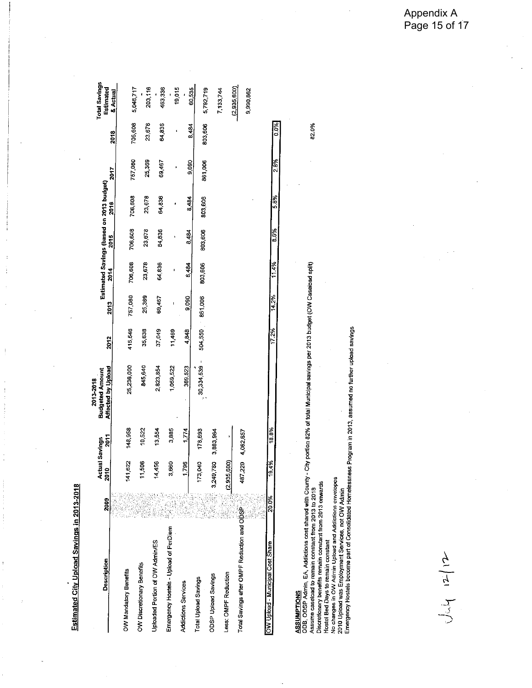Estimated City Upload Savings in 2013-2018

 $\frac{1}{2}$ 

| Description                                 | 2009                                    | Ę<br>ត្ត           | tual Savings      | <b>Budgeted Amount</b><br>2013-2018 |         |         |         |               | Estimated Savings (based on 2013 budget) |         |         | <b>Total Savings</b><br>Estimated |
|---------------------------------------------|-----------------------------------------|--------------------|-------------------|-------------------------------------|---------|---------|---------|---------------|------------------------------------------|---------|---------|-----------------------------------|
|                                             |                                         |                    | $\frac{2011}{20}$ | Affected by Upload                  | 2012    | 2013    | 2014    | 2015          | 2016                                     | 2017    | 2018    | & Actual                          |
| OW Mandatory Benefits                       |                                         | 82<br>호            | 148,958           | 25,236,000                          | 415,546 | 757,080 | 706,608 | 706,608       | 706,608                                  | 757,080 | 706,608 | 5,046.717                         |
| OW Discretionary Benefits                   |                                         | 506                | 10,522            | 845 640                             | 35,638  | 25,369  | 23,678  | 23,678        | 23,678                                   | 25,369  | 23,678  | 203,116                           |
| Uptoaded Portion of OW Admin/ES             | ti.<br>F<br>i.<br><b>Contract</b><br>ù. | 456<br>ź,          | 13,554            | 2,823,854                           | 37,049  | 69,467  | 64.836  | 64,836        | 64,836                                   | 69,467  | 64,836  | 453,336                           |
| Emergency Hostels - Upload of PerDiem       | Î,                                      | 8                  | 3,885             | 1,059,522                           | 11,469  |         |         |               |                                          |         | ¢       | 19,015                            |
| <b>Addictions Services</b>                  | į<br>Ž                                  | 796                | 1774              | 369.523                             | 4,848   | 9,090   | 8,484   | 8.484         | 8,484                                    | 9,090   | 8,484   | 60,535                            |
| Total Upload Savings                        | ł<br>l,                                 | ă<br>$\frac{1}{2}$ | 178,693           | 30,334,539                          | 504,550 | 861,006 | 803,606 | 803,606       | 803,606                                  | 861,006 | 803,606 | 5,792,719                         |
| <b>ODSP Upload Savings</b>                  |                                         | 780<br>3,249.7     | 3,883,964         |                                     |         |         |         |               |                                          |         |         |                                   |
| Less: OMPF Reduction                        |                                         | ဒ္ဓ<br>(2, 935)    |                   |                                     |         |         |         |               |                                          |         |         | 7,133,744                         |
| Total Savings after OMPF Reduction and ODSP |                                         | 487.               | 220 4,062,657     |                                     |         |         |         |               |                                          |         |         | (2,935,600)                       |
|                                             |                                         |                    |                   |                                     |         |         |         |               |                                          |         |         | 9,990,862                         |
| OW Upload - Municipal Cost Share            | 20.0%                                   | 19.4%              | 18.8%             |                                     | 172%    | 14.2%   | 11.4%   | $\frac{8}{6}$ | 5.8%                                     | 2.8%    |         |                                   |
|                                             |                                         |                    |                   |                                     |         |         |         |               |                                          |         | 0.0%    |                                   |

ASSUMPTIONS<br>ODB, ODSP Admin, EA, Addictions cost shared with County - City portion 82% of total Municipal savings per 2013 budget (OW Caseload spit)<br>Assume caseload to remain constant from 2013 to 2018<br>Discretionary benefi

82.0%

Appendix A Page 15 of 17

 $J_{\alpha\beta}$  12/12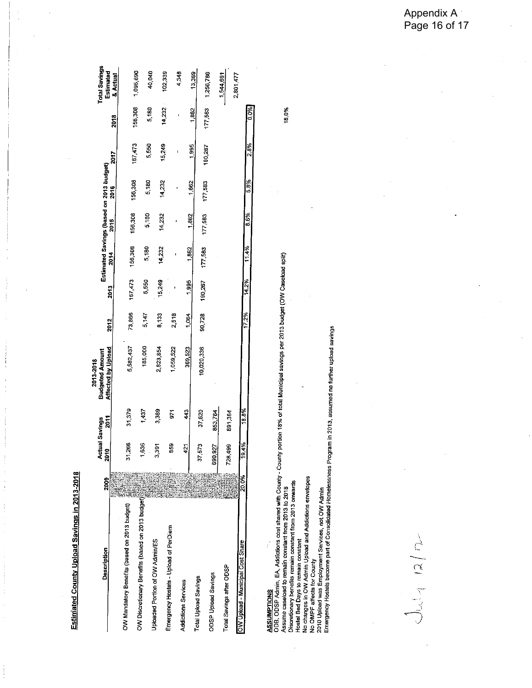| 1 |
|---|
|   |
|   |
|   |
|   |
|   |
|   |
|   |
|   |
|   |
|   |
|   |
|   |
|   |
|   |
|   |
|   |
|   |
|   |
|   |
|   |
|   |
|   |
|   |
|   |
|   |
|   |
|   |
|   |
|   |
|   |
| ı |
|   |

| <b>Description</b>                               | 2003  | <b>Actual Savings</b><br>៖<br>Ñ |         | <b>Budgeted Amount</b><br>2013-2018 |        |         |         |         | Estimated Savings (based on 2013 budget) |             |             | Total Savings         |
|--------------------------------------------------|-------|---------------------------------|---------|-------------------------------------|--------|---------|---------|---------|------------------------------------------|-------------|-------------|-----------------------|
|                                                  |       |                                 | 2011    | Affected by Upload                  | 2012   | 2013    | 2014    | 2015    | 2016                                     | <b>2017</b> | <b>2018</b> | Estimated<br>& Actual |
| OW Mandatory Benefits (based on 2013 budget)     |       | 1,266                           | 31,379  | 5,582,437                           | 73,866 | 167,473 | 156,308 | 156,308 | 156,308                                  | 167.473     |             |                       |
| OW Discretionary Benefits (based on 2013 budget) |       | 1,636                           | 1,437   | 185,000                             | 5,147  | 5,550   | 5,180   | 5,180   | 5,180                                    | 5,550       | 156,308     | 1,096.690             |
| Jploaded Portion of OW Admin/ES                  |       | 58.                             | 3,389   | 2823,854                            | 8,133  | 15,249  | 14,232  | 14,232  | 14,232                                   | 15,249      | 5,180       | 40,040                |
| Emergency Hostels - Upload of PerDiem            |       | 859                             | 51      | 1,059,522                           | 2,518  |         |         |         |                                          |             | 14,232      | 102,339               |
| <b>Addictions Services</b>                       |       | 421                             | 43      | 369,523                             | 1,064  |         |         |         |                                          |             |             | 4,348                 |
| Total Upload Savings                             |       |                                 |         |                                     |        | 1,995   | 1,862   | 1.862   | 1.862                                    | 1,995       | 1,862       | 13.369                |
|                                                  |       | 573                             | 37,620  | 10,020,336                          | 90,728 | 190,267 | 177,583 | 177,583 | 177,583                                  | 190,267     | 177,583     | 1,256786              |
| <b>ODSP Upload Savings</b>                       |       | 1,927<br>590                    | 853,764 |                                     |        |         |         |         |                                          |             |             |                       |
| Total Savings after ODSP                         |       | 39<br>ř                         | 891,384 |                                     |        |         |         |         |                                          |             |             | 1,544,691             |
|                                                  |       |                                 |         |                                     |        |         |         |         |                                          |             |             | 2,801,477             |
| OW Upbad - Municipal Cost Share                  | 20.0% | 19.4%                           | 18.8%   |                                     | 17.2%  | 14.2%   | 11.4%   | 8.6%    | 58%                                      | 7 R.D.      | <b>COLO</b> |                       |
|                                                  |       |                                 |         |                                     |        |         |         |         |                                          |             |             |                       |

ASSUMPTIONS<br>ODB, ODSP Admin, EA, Addictions cost shared with County - County portion 18% of total Municipal savings per 2013 budget (OW Caseload spit)<br>Discretionary benefits remain constant from 2013 or 2018<br>Hostel Bed Day

 $J_{\nu}|_{\gamma}$  12/2

18,0%